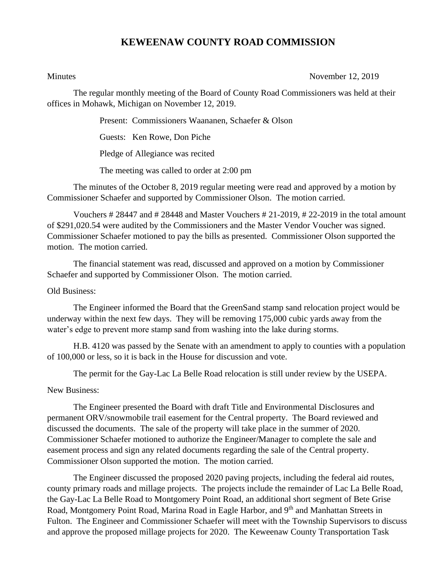## **KEWEENAW COUNTY ROAD COMMISSION**

Minutes November 12, 2019

The regular monthly meeting of the Board of County Road Commissioners was held at their offices in Mohawk, Michigan on November 12, 2019.

Present: Commissioners Waananen, Schaefer & Olson

Guests: Ken Rowe, Don Piche

Pledge of Allegiance was recited

The meeting was called to order at 2:00 pm

The minutes of the October 8, 2019 regular meeting were read and approved by a motion by Commissioner Schaefer and supported by Commissioner Olson. The motion carried.

Vouchers # 28447 and # 28448 and Master Vouchers # 21-2019, # 22-2019 in the total amount of \$291,020.54 were audited by the Commissioners and the Master Vendor Voucher was signed. Commissioner Schaefer motioned to pay the bills as presented. Commissioner Olson supported the motion. The motion carried.

The financial statement was read, discussed and approved on a motion by Commissioner Schaefer and supported by Commissioner Olson. The motion carried.

Old Business:

The Engineer informed the Board that the GreenSand stamp sand relocation project would be underway within the next few days. They will be removing 175,000 cubic yards away from the water's edge to prevent more stamp sand from washing into the lake during storms.

H.B. 4120 was passed by the Senate with an amendment to apply to counties with a population of 100,000 or less, so it is back in the House for discussion and vote.

The permit for the Gay-Lac La Belle Road relocation is still under review by the USEPA.

New Business:

The Engineer presented the Board with draft Title and Environmental Disclosures and permanent ORV/snowmobile trail easement for the Central property. The Board reviewed and discussed the documents. The sale of the property will take place in the summer of 2020. Commissioner Schaefer motioned to authorize the Engineer/Manager to complete the sale and easement process and sign any related documents regarding the sale of the Central property. Commissioner Olson supported the motion. The motion carried.

The Engineer discussed the proposed 2020 paving projects, including the federal aid routes, county primary roads and millage projects. The projects include the remainder of Lac La Belle Road, the Gay-Lac La Belle Road to Montgomery Point Road, an additional short segment of Bete Grise Road, Montgomery Point Road, Marina Road in Eagle Harbor, and 9<sup>th</sup> and Manhattan Streets in Fulton. The Engineer and Commissioner Schaefer will meet with the Township Supervisors to discuss and approve the proposed millage projects for 2020. The Keweenaw County Transportation Task